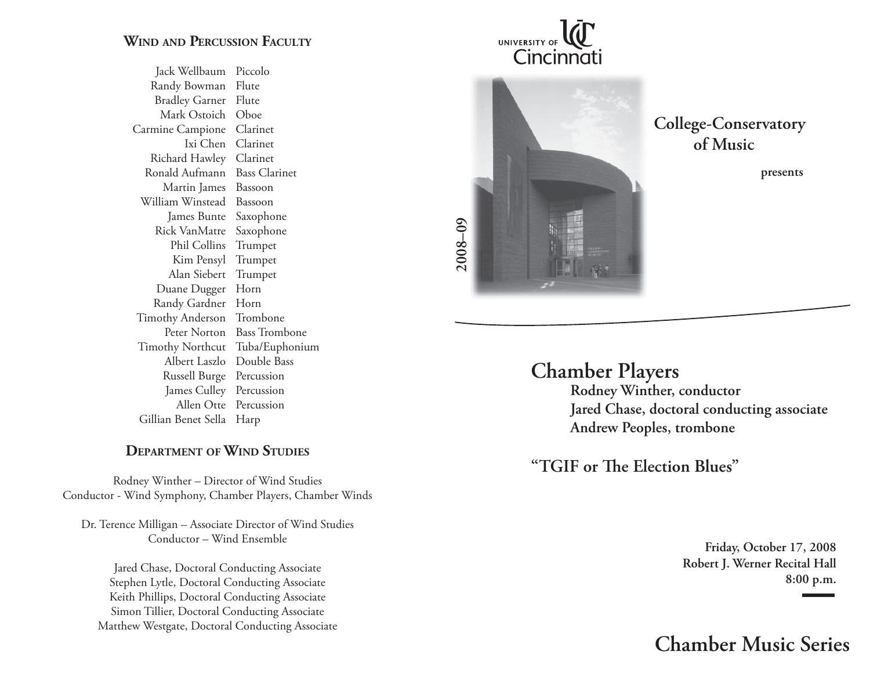### **WIND AND PERCUSSION FACULTY**

 Jack Wellbaum Piccolo Randy Bowman Flute Bradley Garner Flute Mark Ostoich Oboe Carmine Campione Clarinet Ixi Chen Clarinet Richard Hawley Clarinet Ronald Aufmann Bass Clarinet Martin James Bassoon William Winstead Bassoon James Bunte Saxophone Rick VanMatre Saxophone Phil Collins Trumpet Kim Pensyl Trumpet Alan Siebert Trumpet Duane Dugger Horn Randy Gardner Horn Timothy Anderson Trombone Peter Norton Bass Trombone Timothy Northcut Tuba/Euphonium Albert Laszlo Double Bass Russell Burge Percussion James Culley Percussion Allen Otte Percussion Gillian Benet Sella Harp

#### **DEPARTMENT OF WIND STUDIES**

Rodney Winther – Director of Wind Studies Conductor - Wind Symphony, Chamber Players, Chamber Winds

Dr. Terence Milligan – Associate Director of Wind Studies Conductor – Wind Ensemble

Jared Chase, Doctoral Conducting Associate Stephen Lytle, Doctoral Conducting Associate Keith Phillips, Doctoral Conducting Associate Simon Tillier, Doctoral Conducting Associate Matthew Westgate, Doctoral Conducting Associate





**College-Conservatory of Music**

**presents**

# **Chamber Players**

 **Rodney Winther, conductor Jared Chase, doctoral conducting associate Andrew Peoples, trombone**

"TGIF or The Election Blues"

**Friday, October 17, 2008 Robert J. Werner Recital Hall 8:00 p.m.**

**Chamber Music Series**